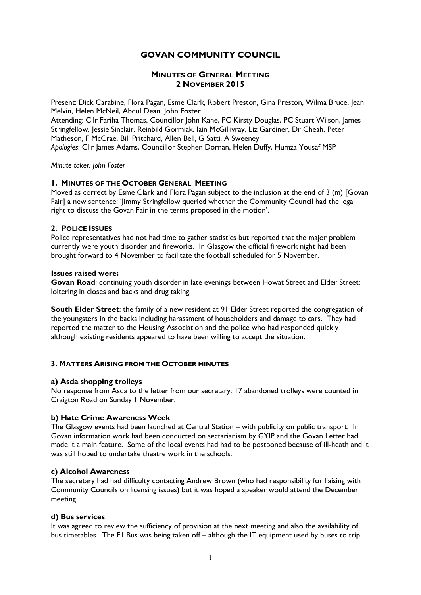# GOVAN COMMUNITY COUNCIL

## MINUTES OF GENERAL MEETING 2 NOVEMBER 2015

Present: Dick Carabine, Flora Pagan, Esme Clark, Robert Preston, Gina Preston, Wilma Bruce, Jean Melvin, Helen McNeil, Abdul Dean, John Foster

Attending: Cllr Fariha Thomas, Councillor John Kane, PC Kirsty Douglas, PC Stuart Wilson, James Stringfellow, Jessie Sinclair, Reinbild Gormiak, Iain McGillivray, Liz Gardiner, Dr Cheah, Peter Matheson, F McCrae, Bill Pritchard, Allen Bell, G Satti, A Sweeney Apologies: Cllr James Adams, Councillor Stephen Dornan, Helen Duffy, Humza Yousaf MSP

Minute taker: John Foster

## 1. MINUTES OF THE OCTOBER GENERAL MEETING

Moved as correct by Esme Clark and Flora Pagan subject to the inclusion at the end of 3 (m) [Govan Fair] a new sentence: 'Jimmy Stringfellow queried whether the Community Council had the legal right to discuss the Govan Fair in the terms proposed in the motion'.

### 2. POLICE ISSUES

Police representatives had not had time to gather statistics but reported that the major problem currently were youth disorder and fireworks. In Glasgow the official firework night had been brought forward to 4 November to facilitate the football scheduled for 5 November.

### Issues raised were:

Govan Road: continuing youth disorder in late evenings between Howat Street and Elder Street: loitering in closes and backs and drug taking.

South Elder Street: the family of a new resident at 91 Elder Street reported the congregation of the youngsters in the backs including harassment of householders and damage to cars. They had reported the matter to the Housing Association and the police who had responded quickly – although existing residents appeared to have been willing to accept the situation.

### 3. MATTERS ARISING FROM THE OCTOBER MINUTES

### a) Asda shopping trolleys

No response from Asda to the letter from our secretary. 17 abandoned trolleys were counted in Craigton Road on Sunday 1 November.

### b) Hate Crime Awareness Week

The Glasgow events had been launched at Central Station – with publicity on public transport. In Govan information work had been conducted on sectarianism by GYIP and the Govan Letter had made it a main feature. Some of the local events had had to be postponed because of ill-heath and it was still hoped to undertake theatre work in the schools.

### c) Alcohol Awareness

The secretary had had difficulty contacting Andrew Brown (who had responsibility for liaising with Community Councils on licensing issues) but it was hoped a speaker would attend the December meeting.

### d) Bus services

It was agreed to review the sufficiency of provision at the next meeting and also the availability of bus timetables. The F1 Bus was being taken off – although the IT equipment used by buses to trip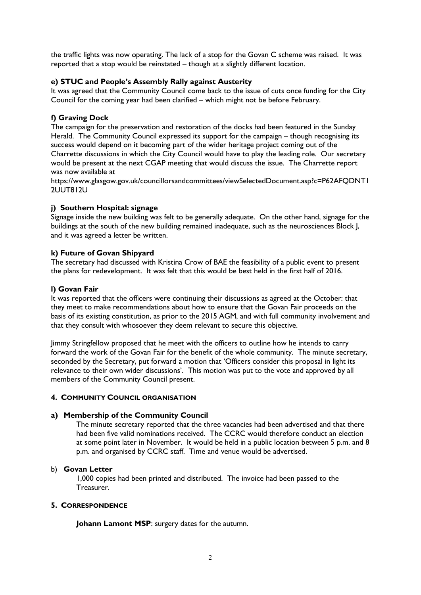the traffic lights was now operating. The lack of a stop for the Govan C scheme was raised. It was reported that a stop would be reinstated – though at a slightly different location.

### e) STUC and People's Assembly Rally against Austerity

It was agreed that the Community Council come back to the issue of cuts once funding for the City Council for the coming year had been clarified – which might not be before February.

## f) Graving Dock

The campaign for the preservation and restoration of the docks had been featured in the Sunday Herald. The Community Council expressed its support for the campaign – though recognising its success would depend on it becoming part of the wider heritage project coming out of the Charrette discussions in which the City Council would have to play the leading role. Our secretary would be present at the next CGAP meeting that would discuss the issue. The Charrette report was now available at

https://www.glasgow.gov.uk/councillorsandcommittees/viewSelectedDocument.asp?c=P62AFQDNT1 2UUT812U

## j) Southern Hospital: signage

Signage inside the new building was felt to be generally adequate. On the other hand, signage for the buildings at the south of the new building remained inadequate, such as the neurosciences Block J, and it was agreed a letter be written.

## k) Future of Govan Shipyard

The secretary had discussed with Kristina Crow of BAE the feasibility of a public event to present the plans for redevelopment. It was felt that this would be best held in the first half of 2016.

## l) Govan Fair

It was reported that the officers were continuing their discussions as agreed at the October: that they meet to make recommendations about how to ensure that the Govan Fair proceeds on the basis of its existing constitution, as prior to the 2015 AGM, and with full community involvement and that they consult with whosoever they deem relevant to secure this objective.

Jimmy Stringfellow proposed that he meet with the officers to outline how he intends to carry forward the work of the Govan Fair for the benefit of the whole community. The minute secretary, seconded by the Secretary, put forward a motion that 'Officers consider this proposal in light its relevance to their own wider discussions'. This motion was put to the vote and approved by all members of the Community Council present.

### 4. COMMUNITY COUNCIL ORGANISATION

### a) Membership of the Community Council

The minute secretary reported that the three vacancies had been advertised and that there had been five valid nominations received. The CCRC would therefore conduct an election at some point later in November. It would be held in a public location between 5 p.m. and 8 p.m. and organised by CCRC staff. Time and venue would be advertised.

### b) Govan Letter

1,000 copies had been printed and distributed. The invoice had been passed to the Treasurer.

### 5. CORRESPONDENCE

Johann Lamont MSP: surgery dates for the autumn.